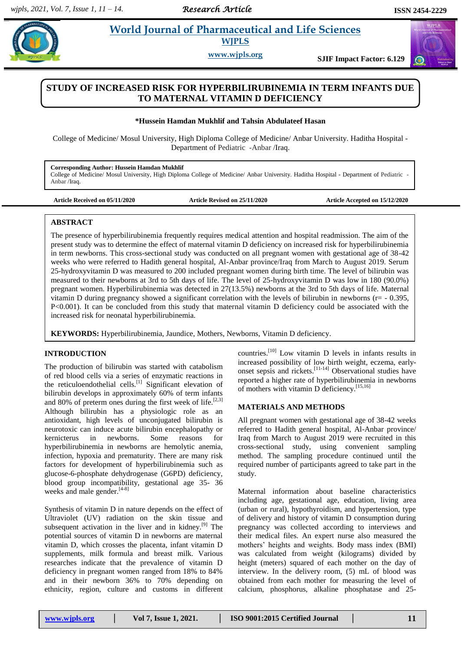*Research Article* 

 $\omega$ 

# **Example 3** *E* **World Journal of Pharmaceutical and Life Sciences WJPLS**

**www.wjpls.org SJIF Impact Factor: 6.129**

## **STUDY OF INCREASED RISK FOR HYPERBILIRUBINEMIA IN TERM INFANTS DUE TO MATERNAL VITAMIN D DEFICIENCY**

#### **\*Hussein Hamdan Mukhlif and Tahsin Abdulateef Hasan**

College of Medicine/ Mosul University, High Diploma College of Medicine/ Anbar University. Haditha Hospital - Department of Pediatric -Anbar /Iraq.

**Corresponding Author: Hussein Hamdan Mukhlif** College of Medicine/ Mosul University, High Diploma College of Medicine/ Anbar University. Haditha Hospital - Department of Pediatric - Anbar /Iraq.

**Article Received on 05/11/2020 Article Revised on 25/11/2020 Article Accepted on 15/12/2020**

#### **ABSTRACT**

The presence of hyperbilirubinemia frequently requires medical attention and hospital readmission. The aim of the present study was to determine the effect of maternal vitamin D deficiency on increased risk for hyperbilirubinemia in term newborns. This cross-sectional study was conducted on all pregnant women with gestational age of 38-42 weeks who were referred to Hadith general hospital, Al-Anbar province/Iraq from March to August 2019. Serum 25-hydroxyvitamin D was measured to 200 included pregnant women during birth time. The level of bilirubin was measured to their newborns at 3rd to 5th days of life. The level of 25-hydroxyvitamin D was low in 180 (90.0%) pregnant women. Hyperbilirubinemia was detected in 27(13.5%) newborns at the 3rd to 5th days of life. Maternal vitamin D during pregnancy showed a significant correlation with the levels of bilirubin in newborns (r= - 0.395, P<0.001). It can be concluded from this study that maternal vitamin D deficiency could be associated with the increased risk for neonatal hyperbilirubinemia.

**KEYWORDS:** Hyperbilirubinemia, Jaundice, Mothers, Newborns, Vitamin D deficiency.

### **INTRODUCTION**

The production of bilirubin was started with catabolism of red blood cells via a series of enzymatic reactions in the reticuloendothelial cells.<sup>[1]</sup> Significant elevation of bilirubin develops in approximately 60% of term infants and 80% of preterm ones during the first week of life.<sup>[2,3]</sup> Although bilirubin has a physiologic role as an antioxidant, high levels of unconjugated bilirubin is neurotoxic can induce acute bilirubin encephalopathy or kernicterus in newborns. Some reasons for hyperbilirubinemia in newborns are hemolytic anemia, infection, hypoxia and prematurity. There are many risk factors for development of hyperbilirubinemia such as glucose-6-phosphate dehydrogenase (G6PD) deficiency, blood group incompatibility, gestational age 35- 36 weeks and male gender.<sup>[4-8]</sup>

Synthesis of vitamin D in nature depends on the effect of Ultraviolet (UV) radiation on the skin tissue and subsequent activation in the liver and in kidney.<sup>[9]</sup> The potential sources of vitamin D in newborns are maternal vitamin D, which crosses the placenta, infant vitamin D supplements, milk formula and breast milk. Various researches indicate that the prevalence of vitamin D deficiency in pregnant women ranged from 18% to 84% and in their newborn 36% to 70% depending on ethnicity, region, culture and customs in different countries.[10] Low vitamin D levels in infants results in increased possibility of low birth weight, eczema, earlyonset sepsis and rickets.[11-14] Observational studies have reported a higher rate of hyperbilirubinemia in newborns of mothers with vitamin D deficiency.[15,16]

#### **MATERIALS AND METHODS**

All pregnant women with gestational age of 38-42 weeks referred to Hadith general hospital, Al-Anbar province/ Iraq from March to August 2019 were recruited in this cross-sectional study, using convenient sampling method. The sampling procedure continued until the required number of participants agreed to take part in the study.

Maternal information about baseline characteristics including age, gestational age, education, living area (urban or rural), hypothyroidism, and hypertension, type of delivery and history of vitamin D consumption during pregnancy was collected according to interviews and their medical files. An expert nurse also measured the mothers' heights and weights. Body mass index (BMI) was calculated from weight (kilograms) divided by height (meters) squared of each mother on the day of interview. In the delivery room, (5) mL of blood was obtained from each mother for measuring the level of calcium, phosphorus, alkaline phosphatase and 25-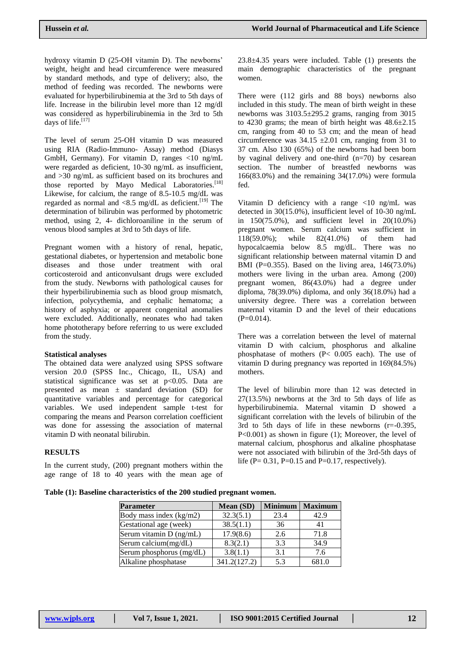hydroxy vitamin D (25-OH vitamin D). The newborns' weight, height and head circumference were measured by standard methods, and type of delivery; also, the method of feeding was recorded. The newborns were evaluated for hyperbilirubinemia at the 3rd to 5th days of life. Increase in the bilirubin level more than 12 mg/dl was considered as hyperbilirubinemia in the 3rd to 5th days of life.<sup>[17]</sup>

The level of serum 25-OH vitamin D was measured using RIA (Radio-Immuno- Assay) method (Diasys GmbH, Germany). For vitamin D, ranges <10 ng/mL were regarded as deficient, 10-30 ng/mL as insufficient, and >30 ng/mL as sufficient based on its brochures and those reported by Mayo Medical Laboratories.<sup>[18]</sup> Likewise, for calcium, the range of 8.5-10.5 mg/dL was regarded as normal and <8.5 mg/dL as deficient.<sup>[19]</sup> The determination of bilirubin was performed by photometric method, using 2, 4- dichloroaniline in the serum of venous blood samples at 3rd to 5th days of life.

Pregnant women with a history of renal, hepatic, gestational diabetes, or hypertension and metabolic bone diseases and those under treatment with oral corticosteroid and anticonvulsant drugs were excluded from the study. Newborns with pathological causes for their hyperbilirubinemia such as blood group mismatch, infection, polycythemia, and cephalic hematoma; a history of asphyxia; or apparent congenital anomalies were excluded. Additionally, neonates who had taken home phototherapy before referring to us were excluded from the study.

#### **Statistical analyses**

The obtained data were analyzed using SPSS software version 20.0 (SPSS Inc., Chicago, IL, USA) and statistical significance was set at p<0.05. Data are presented as mean  $\pm$  standard deviation (SD) for quantitative variables and percentage for categorical variables. We used independent sample t-test for comparing the means and Pearson correlation coefficient was done for assessing the association of maternal vitamin D with neonatal bilirubin.

#### **RESULTS**

In the current study, (200) pregnant mothers within the age range of 18 to 40 years with the mean age of  $23.8\pm4.35$  years were included. Table (1) presents the main demographic characteristics of the pregnant women.

There were (112 girls and 88 boys) newborns also included in this study. The mean of birth weight in these newborns was 3103.5±295.2 grams, ranging from 3015 to 4230 grams; the mean of birth height was  $48.6 \pm 2.15$ cm, ranging from 40 to 53 cm; and the mean of head circumference was  $34.15 \pm 2.01$  cm, ranging from 31 to 37 cm. Also 130 (65%) of the newborns had been born by vaginal delivery and one-third  $(n=70)$  by cesarean section. The number of breastfed newborns was 166(83.0%) and the remaining 34(17.0%) were formula fed.

Vitamin D deficiency with a range <10 ng/mL was detected in 30(15.0%), insufficient level of 10-30 ng/mL in 150(75.0%), and sufficient level in 20(10.0%) pregnant women. Serum calcium was sufficient in 118(59.0%); while 82(41.0%) of them had hypocalcaemia below 8.5 mg/dL. There was no significant relationship between maternal vitamin D and BMI (P=0.355). Based on the living area,  $146(73.0\%)$ mothers were living in the urban area. Among (200) pregnant women, 86(43.0%) had a degree under diploma, 78(39.0%) diploma, and only 36(18.0%) had a university degree. There was a correlation between maternal vitamin D and the level of their educations  $(P=0.014)$ .

There was a correlation between the level of maternal vitamin D with calcium, phosphorus and alkaline phosphatase of mothers (P< 0.005 each). The use of vitamin D during pregnancy was reported in 169(84.5%) mothers.

The level of bilirubin more than 12 was detected in 27(13.5%) newborns at the 3rd to 5th days of life as hyperbilirubinemia. Maternal vitamin D showed a significant correlation with the levels of bilirubin of the 3rd to 5th days of life in these newborns (r=-0.395, P<0.001) as shown in figure (1); Moreover, the level of maternal calcium, phosphorus and alkaline phosphatase were not associated with bilirubin of the 3rd-5th days of life (P=  $0.31$ , P= $0.15$  and P= $0.17$ , respectively).

**Table (1): Baseline characteristics of the 200 studied pregnant women.**

| <b>Parameter</b>         | <b>Mean (SD)</b> | <b>Minimum</b> | <b>Maximum</b> |
|--------------------------|------------------|----------------|----------------|
| Body mass index (kg/m2)  | 32.3(5.1)        | 23.4           | 42.9           |
| Gestational age (week)   | 38.5(1.1)        | 36             | 41             |
| Serum vitamin D (ng/mL)  | 17.9(8.6)        | 2.6            | 71.8           |
| Serum calcium(mg/dL)     | 8.3(2.1)         | 3.3            | 34.9           |
| Serum phosphorus (mg/dL) | 3.8(1.1)         | 3.1            | 7.6            |
| Alkaline phosphatase     | 341.2(127.2)     | 5.3            | 681.0          |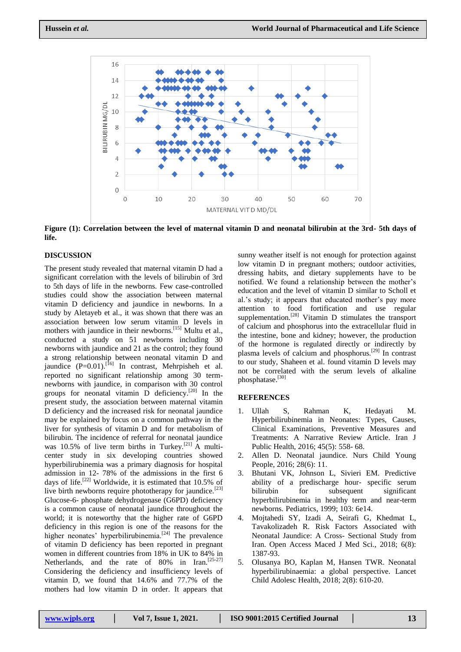

**Figure (1): Correlation between the level of maternal vitamin D and neonatal bilirubin at the 3rd- 5th days of life.**

#### **DISCUSSION**

The present study revealed that maternal vitamin D had a significant correlation with the levels of bilirubin of 3rd to 5th days of life in the newborns. Few case-controlled studies could show the association between maternal vitamin D deficiency and jaundice in newborns. In a study by Aletayeb et al., it was shown that there was an association between low serum vitamin D levels in mothers with jaundice in their newborns.<sup>[15]</sup> Multu et al., conducted a study on 51 newborns including 30 newborns with jaundice and 21 as the control; they found a strong relationship between neonatal vitamin D and jaundice  $(P=0.01)$ .<sup>[16]</sup> In contrast, Mehrpisheh et al. reported no significant relationship among 30 termnewborns with jaundice, in comparison with 30 control groups for neonatal vitamin  $\overrightarrow{D}$  deficiency.<sup>[20]</sup> In the present study, the association between maternal vitamin D deficiency and the increased risk for neonatal jaundice may be explained by focus on a common pathway in the liver for synthesis of vitamin D and for metabolism of bilirubin. The incidence of referral for neonatal jaundice was 10.5% of live term births in Turkey.<sup>[21]</sup> A multicenter study in six developing countries showed hyperbilirubinemia was a primary diagnosis for hospital admission in 12- 78% of the admissions in the first 6 days of life.<sup>[22]</sup> Worldwide, it is estimated that  $10.5\%$  of live birth newborns require phototherapy for jaundice.<sup>[23]</sup> Glucose-6- phosphate dehydrogenase (G6PD) deficiency is a common cause of neonatal jaundice throughout the world; it is noteworthy that the higher rate of G6PD deficiency in this region is one of the reasons for the higher neonates' hyperbilirubinemia.<sup>[24]</sup> The prevalence of vitamin D deficiency has been reported in pregnant women in different countries from 18% in UK to 84% in Netherlands, and the rate of 80% in Iran.<sup>[25-27]</sup> Considering the deficiency and insufficiency levels of vitamin D, we found that 14.6% and 77.7% of the mothers had low vitamin D in order. It appears that

sunny weather itself is not enough for protection against low vitamin D in pregnant mothers; outdoor activities, dressing habits, and dietary supplements have to be notified. We found a relationship between the mother's education and the level of vitamin D similar to Scholl et al.'s study; it appears that educated mother's pay more attention to food fortification and use regular supplementation.<sup>[28]</sup> Vitamin D stimulates the transport of calcium and phosphorus into the extracellular fluid in the intestine, bone and kidney; however, the production of the hormone is regulated directly or indirectly by plasma levels of calcium and phosphorus.[29] In contrast to our study, Shaheen et al. found vitamin D levels may not be correlated with the serum levels of alkaline phosphatase.[30]

#### **REFERENCES**

- 1. Ullah S, Rahman K, Hedayati M. Hyperbilirubinemia in Neonates: Types, Causes, Clinical Examinations, Preventive Measures and Treatments: A Narrative Review Article. Iran J Public Health, 2016; 45(5): 558- 68.
- 2. Allen D. Neonatal jaundice. Nurs Child Young People, 2016; 28(6): 11.
- 3. Bhutani VK, Johnson L, Sivieri EM. Predictive ability of a predischarge hour- specific serum bilirubin for subsequent significant hyperbilirubinemia in healthy term and near-term newborns. Pediatrics, 1999; 103: 6e14.
- 4. Mojtahedi SY, Izadi A, Seirafi G, Khedmat L, Tavakolizadeh R. Risk Factors Associated with Neonatal Jaundice: A Cross- Sectional Study from Iran. Open Access Maced J Med Sci., 2018; 6(8): 1387-93.
- 5. Olusanya BO, Kaplan M, Hansen TWR. Neonatal hyperbilirubinaemia: a global perspective. Lancet Child Adolesc Health, 2018; 2(8): 610-20.